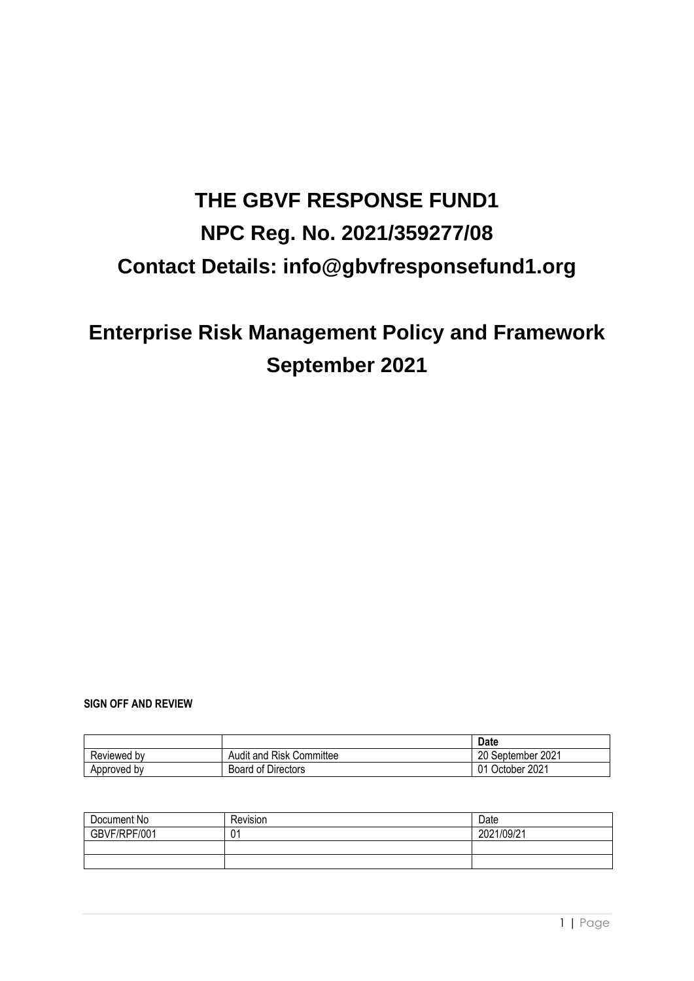# **THE GBVF RESPONSE FUND1 NPC Reg. No. 2021/359277/08 Contact Details: info@gbvfresponsefund1.org**

## **Enterprise Risk Management Policy and Framework September 2021**

#### **SIGN OFF AND REVIEW**

|             |                               | <b>Date</b>          |
|-------------|-------------------------------|----------------------|
| Reviewed by | ' Risk Committee<br>Audit and | September 2021<br>20 |
| Approved by | <b>Board of Directors</b>     | October 2021<br>01   |

| Document No  | Revision | Date       |
|--------------|----------|------------|
| GBVF/RPF/001 | 01       | 2021/09/21 |
|              |          |            |
|              |          |            |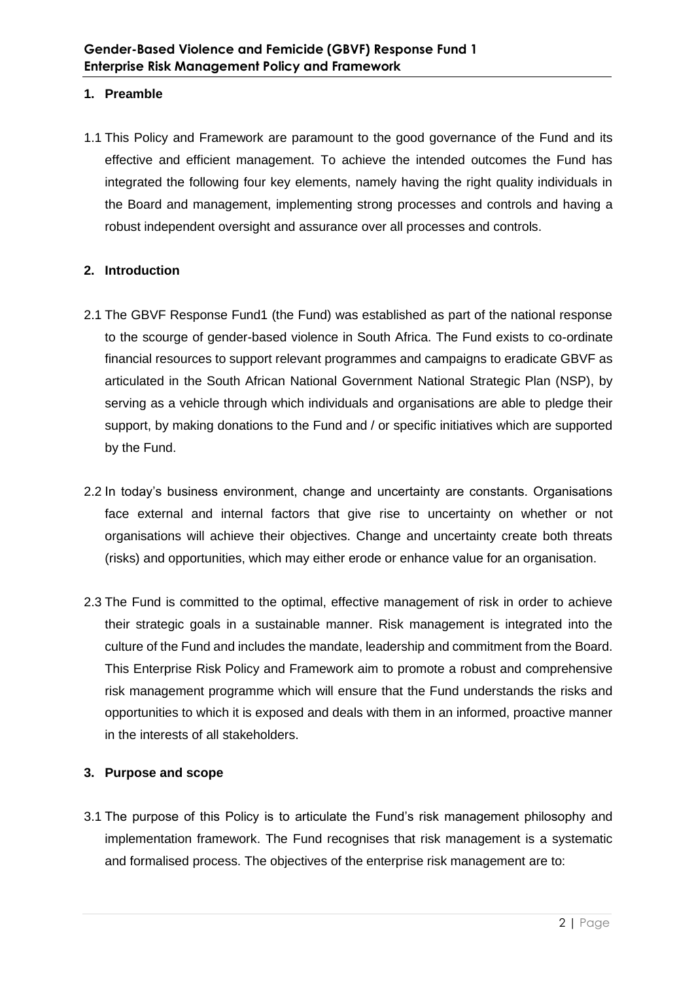## **1. Preamble**

1.1 This Policy and Framework are paramount to the good governance of the Fund and its effective and efficient management. To achieve the intended outcomes the Fund has integrated the following four key elements, namely having the right quality individuals in the Board and management, implementing strong processes and controls and having a robust independent oversight and assurance over all processes and controls.

## **2. Introduction**

- 2.1 The GBVF Response Fund1 (the Fund) was established as part of the national response to the scourge of gender-based violence in South Africa. The Fund exists to co-ordinate financial resources to support relevant programmes and campaigns to eradicate GBVF as articulated in the South African National Government National Strategic Plan (NSP), by serving as a vehicle through which individuals and organisations are able to pledge their support, by making donations to the Fund and / or specific initiatives which are supported by the Fund.
- 2.2 In today's business environment, change and uncertainty are constants. Organisations face external and internal factors that give rise to uncertainty on whether or not organisations will achieve their objectives. Change and uncertainty create both threats (risks) and opportunities, which may either erode or enhance value for an organisation.
- 2.3 The Fund is committed to the optimal, effective management of risk in order to achieve their strategic goals in a sustainable manner. Risk management is integrated into the culture of the Fund and includes the mandate, leadership and commitment from the Board. This Enterprise Risk Policy and Framework aim to promote a robust and comprehensive risk management programme which will ensure that the Fund understands the risks and opportunities to which it is exposed and deals with them in an informed, proactive manner in the interests of all stakeholders.

## **3. Purpose and scope**

3.1 The purpose of this Policy is to articulate the Fund's risk management philosophy and implementation framework. The Fund recognises that risk management is a systematic and formalised process. The objectives of the enterprise risk management are to: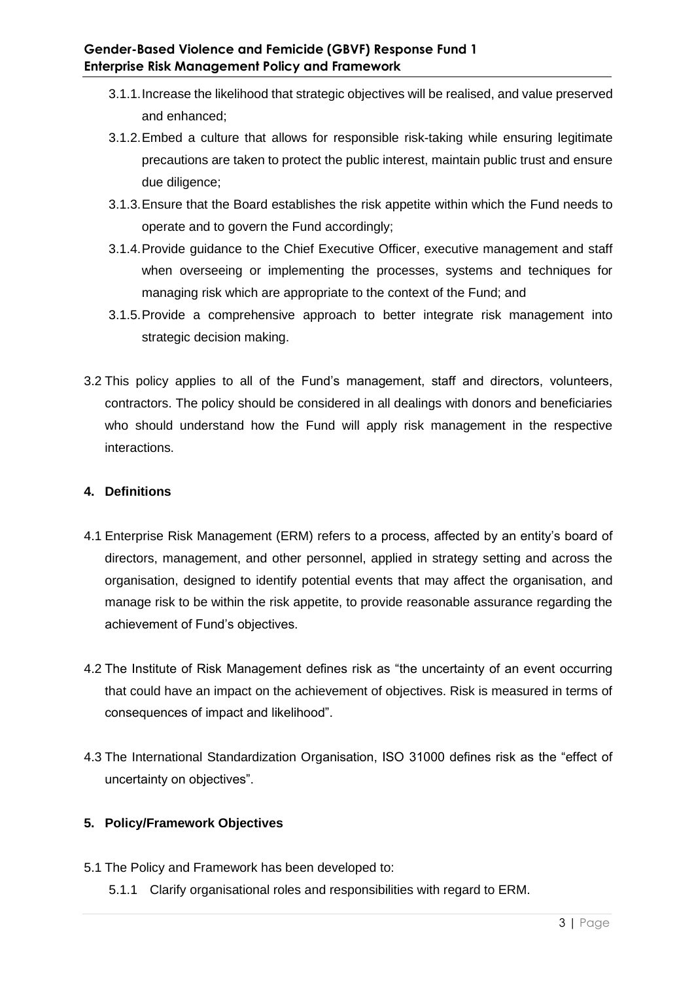- 3.1.1.Increase the likelihood that strategic objectives will be realised, and value preserved and enhanced;
- 3.1.2.Embed a culture that allows for responsible risk-taking while ensuring legitimate precautions are taken to protect the public interest, maintain public trust and ensure due diligence;
- 3.1.3.Ensure that the Board establishes the risk appetite within which the Fund needs to operate and to govern the Fund accordingly;
- 3.1.4.Provide guidance to the Chief Executive Officer, executive management and staff when overseeing or implementing the processes, systems and techniques for managing risk which are appropriate to the context of the Fund; and
- 3.1.5.Provide a comprehensive approach to better integrate risk management into strategic decision making.
- 3.2 This policy applies to all of the Fund's management, staff and directors, volunteers, contractors. The policy should be considered in all dealings with donors and beneficiaries who should understand how the Fund will apply risk management in the respective interactions.

## **4. Definitions**

- 4.1 Enterprise Risk Management (ERM) refers to a process, affected by an entity's board of directors, management, and other personnel, applied in strategy setting and across the organisation, designed to identify potential events that may affect the organisation, and manage risk to be within the risk appetite, to provide reasonable assurance regarding the achievement of Fund's objectives.
- 4.2 The Institute of Risk Management defines risk as "the uncertainty of an event occurring that could have an impact on the achievement of objectives. Risk is measured in terms of consequences of impact and likelihood".
- 4.3 The International Standardization Organisation, ISO 31000 defines risk as the "effect of uncertainty on objectives".

## **5. Policy/Framework Objectives**

- 5.1 The Policy and Framework has been developed to:
	- 5.1.1 Clarify organisational roles and responsibilities with regard to ERM.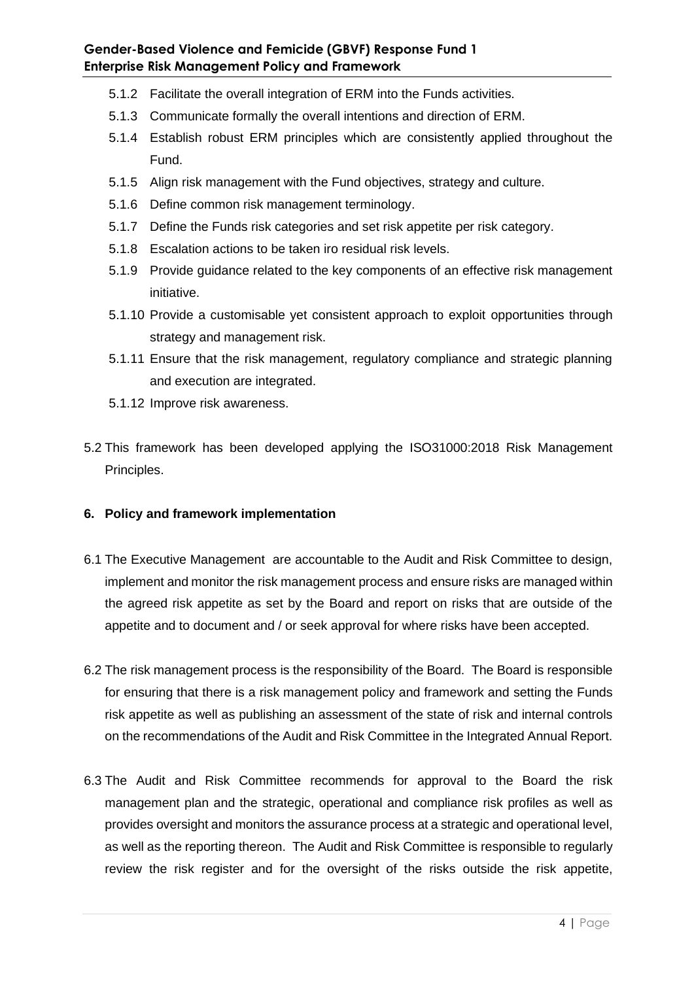- 5.1.2 Facilitate the overall integration of ERM into the Funds activities.
- 5.1.3 Communicate formally the overall intentions and direction of ERM.
- 5.1.4 Establish robust ERM principles which are consistently applied throughout the Fund.
- 5.1.5 Align risk management with the Fund objectives, strategy and culture.
- 5.1.6 Define common risk management terminology.
- 5.1.7 Define the Funds risk categories and set risk appetite per risk category.
- 5.1.8 Escalation actions to be taken iro residual risk levels.
- 5.1.9 Provide guidance related to the key components of an effective risk management initiative.
- 5.1.10 Provide a customisable yet consistent approach to exploit opportunities through strategy and management risk.
- 5.1.11 Ensure that the risk management, regulatory compliance and strategic planning and execution are integrated.
- 5.1.12 Improve risk awareness.
- 5.2 This framework has been developed applying the ISO31000:2018 Risk Management Principles.
- **6. Policy and framework implementation**
- 6.1 The Executive Management are accountable to the Audit and Risk Committee to design, implement and monitor the risk management process and ensure risks are managed within the agreed risk appetite as set by the Board and report on risks that are outside of the appetite and to document and / or seek approval for where risks have been accepted.
- 6.2 The risk management process is the responsibility of the Board. The Board is responsible for ensuring that there is a risk management policy and framework and setting the Funds risk appetite as well as publishing an assessment of the state of risk and internal controls on the recommendations of the Audit and Risk Committee in the Integrated Annual Report.
- 6.3 The Audit and Risk Committee recommends for approval to the Board the risk management plan and the strategic, operational and compliance risk profiles as well as provides oversight and monitors the assurance process at a strategic and operational level, as well as the reporting thereon. The Audit and Risk Committee is responsible to regularly review the risk register and for the oversight of the risks outside the risk appetite,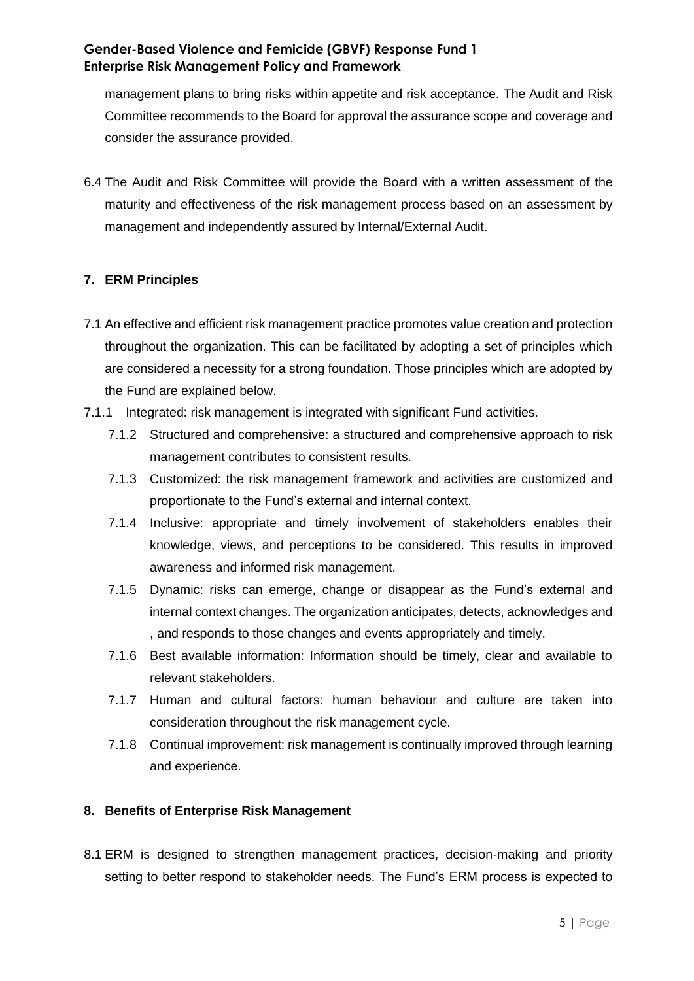management plans to bring risks within appetite and risk acceptance. The Audit and Risk Committee recommends to the Board for approval the assurance scope and coverage and consider the assurance provided.

6.4 The Audit and Risk Committee will provide the Board with a written assessment of the maturity and effectiveness of the risk management process based on an assessment by management and independently assured by Internal/External Audit.

## **7. ERM Principles**

- 7.1 An effective and efficient risk management practice promotes value creation and protection throughout the organization. This can be facilitated by adopting a set of principles which are considered a necessity for a strong foundation. Those principles which are adopted by the Fund are explained below.
- 7.1.1 Integrated: risk management is integrated with significant Fund activities.
	- 7.1.2 Structured and comprehensive: a structured and comprehensive approach to risk management contributes to consistent results.
	- 7.1.3 Customized: the risk management framework and activities are customized and proportionate to the Fund's external and internal context.
	- 7.1.4 Inclusive: appropriate and timely involvement of stakeholders enables their knowledge, views, and perceptions to be considered. This results in improved awareness and informed risk management.
	- 7.1.5 Dynamic: risks can emerge, change or disappear as the Fund's external and internal context changes. The organization anticipates, detects, acknowledges and , and responds to those changes and events appropriately and timely.
	- 7.1.6 Best available information: Information should be timely, clear and available to relevant stakeholders.
	- 7.1.7 Human and cultural factors: human behaviour and culture are taken into consideration throughout the risk management cycle.
	- 7.1.8 Continual improvement: risk management is continually improved through learning and experience.

## **8. Benefits of Enterprise Risk Management**

8.1 ERM is designed to strengthen management practices, decision-making and priority setting to better respond to stakeholder needs. The Fund's ERM process is expected to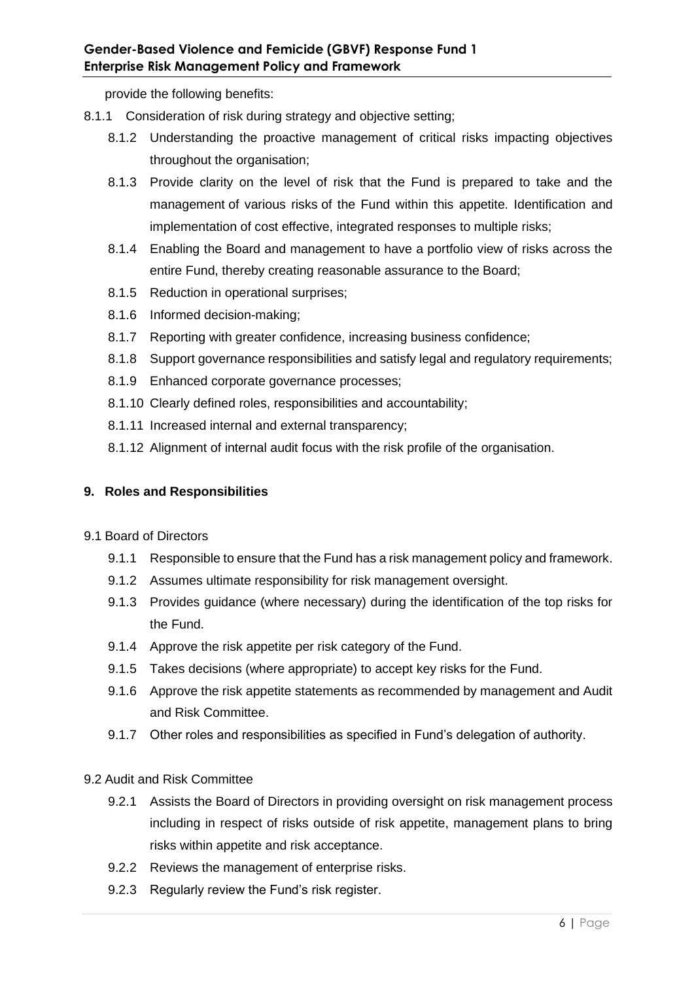provide the following benefits:

- 8.1.1 Consideration of risk during strategy and objective setting;
	- 8.1.2 Understanding the proactive management of critical risks impacting objectives throughout the organisation;
	- 8.1.3 Provide clarity on the level of risk that the Fund is prepared to take and the management of various risks of the Fund within this appetite. Identification and implementation of cost effective, integrated responses to multiple risks;
	- 8.1.4 Enabling the Board and management to have a portfolio view of risks across the entire Fund, thereby creating reasonable assurance to the Board;
	- 8.1.5 Reduction in operational surprises;
	- 8.1.6 Informed decision-making;
	- 8.1.7 Reporting with greater confidence, increasing business confidence;
	- 8.1.8 Support governance responsibilities and satisfy legal and regulatory requirements;
	- 8.1.9 Enhanced corporate governance processes;
	- 8.1.10 Clearly defined roles, responsibilities and accountability;
	- 8.1.11 Increased internal and external transparency;
	- 8.1.12 Alignment of internal audit focus with the risk profile of the organisation.

## **9. Roles and Responsibilities**

- 9.1 Board of Directors
	- 9.1.1 Responsible to ensure that the Fund has a risk management policy and framework.
	- 9.1.2 Assumes ultimate responsibility for risk management oversight.
	- 9.1.3 Provides guidance (where necessary) during the identification of the top risks for the Fund.
	- 9.1.4 Approve the risk appetite per risk category of the Fund.
	- 9.1.5 Takes decisions (where appropriate) to accept key risks for the Fund.
	- 9.1.6 Approve the risk appetite statements as recommended by management and Audit and Risk Committee.
	- 9.1.7 Other roles and responsibilities as specified in Fund's delegation of authority.

## 9.2 Audit and Risk Committee

- 9.2.1 Assists the Board of Directors in providing oversight on risk management process including in respect of risks outside of risk appetite, management plans to bring risks within appetite and risk acceptance.
- 9.2.2 Reviews the management of enterprise risks.
- 9.2.3 Regularly review the Fund's risk register.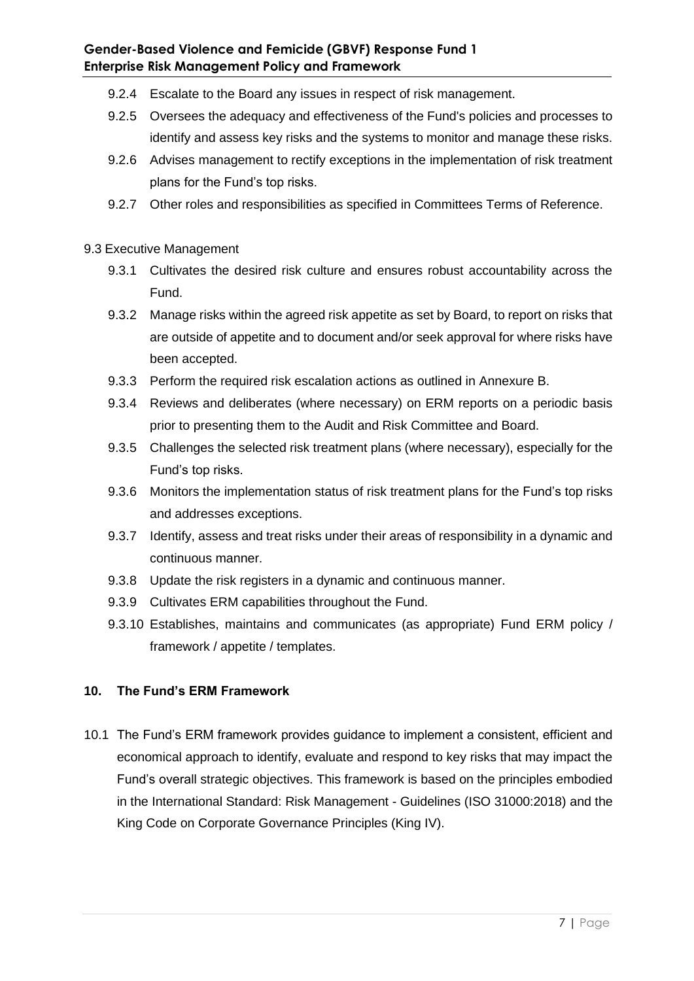- 9.2.4 Escalate to the Board any issues in respect of risk management.
- 9.2.5 Oversees the adequacy and effectiveness of the Fund's policies and processes to identify and assess key risks and the systems to monitor and manage these risks.
- 9.2.6 Advises management to rectify exceptions in the implementation of risk treatment plans for the Fund's top risks.
- 9.2.7 Other roles and responsibilities as specified in Committees Terms of Reference.

## 9.3 Executive Management

- 9.3.1 Cultivates the desired risk culture and ensures robust accountability across the Fund.
- 9.3.2 Manage risks within the agreed risk appetite as set by Board, to report on risks that are outside of appetite and to document and/or seek approval for where risks have been accepted.
- 9.3.3 Perform the required risk escalation actions as outlined in Annexure B.
- 9.3.4 Reviews and deliberates (where necessary) on ERM reports on a periodic basis prior to presenting them to the Audit and Risk Committee and Board.
- 9.3.5 Challenges the selected risk treatment plans (where necessary), especially for the Fund's top risks.
- 9.3.6 Monitors the implementation status of risk treatment plans for the Fund's top risks and addresses exceptions.
- 9.3.7 Identify, assess and treat risks under their areas of responsibility in a dynamic and continuous manner.
- 9.3.8 Update the risk registers in a dynamic and continuous manner.
- 9.3.9 Cultivates ERM capabilities throughout the Fund.
- 9.3.10 Establishes, maintains and communicates (as appropriate) Fund ERM policy / framework / appetite / templates.

## **10. The Fund's ERM Framework**

10.1 The Fund's ERM framework provides guidance to implement a consistent, efficient and economical approach to identify, evaluate and respond to key risks that may impact the Fund's overall strategic objectives. This framework is based on the principles embodied in the International Standard: Risk Management - Guidelines (ISO 31000:2018) and the King Code on Corporate Governance Principles (King IV).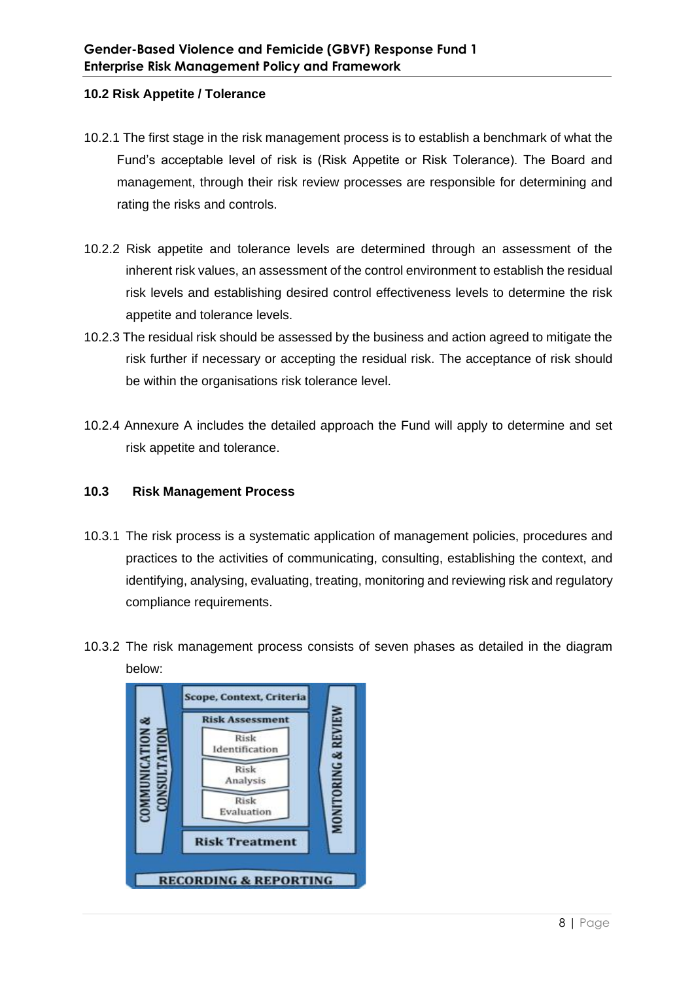## **10.2 Risk Appetite / Tolerance**

- 10.2.1 The first stage in the risk management process is to establish a benchmark of what the Fund's acceptable level of risk is (Risk Appetite or Risk Tolerance). The Board and management, through their risk review processes are responsible for determining and rating the risks and controls.
- 10.2.2 Risk appetite and tolerance levels are determined through an assessment of the inherent risk values, an assessment of the control environment to establish the residual risk levels and establishing desired control effectiveness levels to determine the risk appetite and tolerance levels.
- 10.2.3 The residual risk should be assessed by the business and action agreed to mitigate the risk further if necessary or accepting the residual risk. The acceptance of risk should be within the organisations risk tolerance level.
- 10.2.4 Annexure A includes the detailed approach the Fund will apply to determine and set risk appetite and tolerance.

## **10.3 Risk Management Process**

- 10.3.1 The risk process is a systematic application of management policies, procedures and practices to the activities of communicating, consulting, establishing the context, and identifying, analysing, evaluating, treating, monitoring and reviewing risk and regulatory compliance requirements.
- 10.3.2 The risk management process consists of seven phases as detailed in the diagram below:

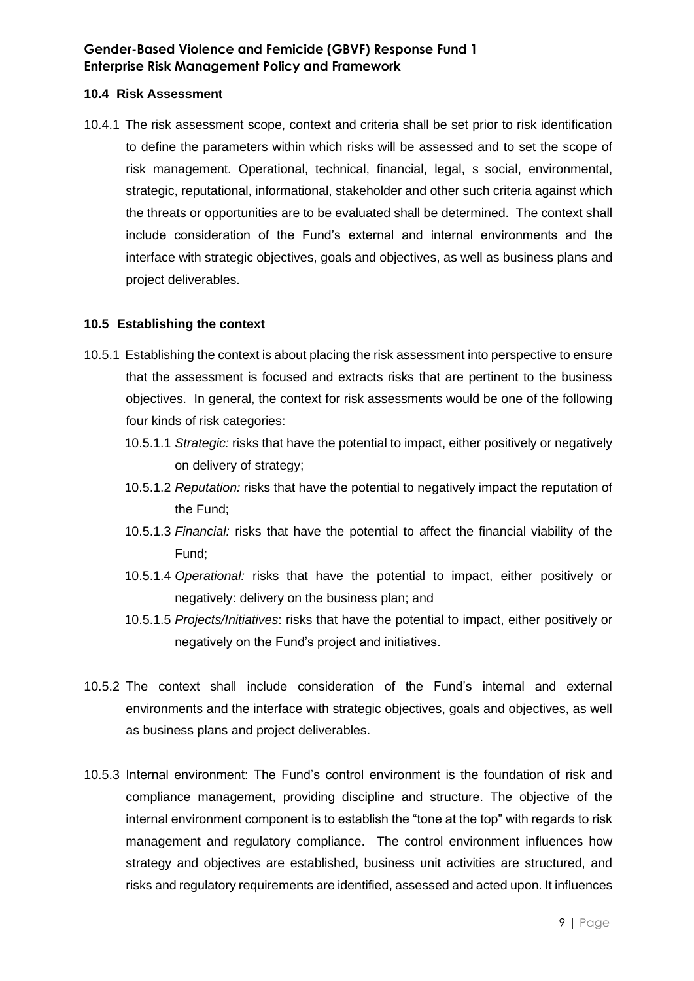#### **10.4 Risk Assessment**

10.4.1 The risk assessment scope, context and criteria shall be set prior to risk identification to define the parameters within which risks will be assessed and to set the scope of risk management. Operational, technical, financial, legal, s social, environmental, strategic, reputational, informational, stakeholder and other such criteria against which the threats or opportunities are to be evaluated shall be determined. The context shall include consideration of the Fund's external and internal environments and the interface with strategic objectives, goals and objectives, as well as business plans and project deliverables.

#### **10.5 Establishing the context**

- 10.5.1 Establishing the context is about placing the risk assessment into perspective to ensure that the assessment is focused and extracts risks that are pertinent to the business objectives. In general, the context for risk assessments would be one of the following four kinds of risk categories:
	- 10.5.1.1 *Strategic:* risks that have the potential to impact, either positively or negatively on delivery of strategy;
	- 10.5.1.2 *Reputation:* risks that have the potential to negatively impact the reputation of the Fund;
	- 10.5.1.3 *Financial:* risks that have the potential to affect the financial viability of the Fund;
	- 10.5.1.4 *Operational:* risks that have the potential to impact, either positively or negatively: delivery on the business plan; and
	- 10.5.1.5 *Projects/Initiatives*: risks that have the potential to impact, either positively or negatively on the Fund's project and initiatives.
- 10.5.2 The context shall include consideration of the Fund's internal and external environments and the interface with strategic objectives, goals and objectives, as well as business plans and project deliverables.
- 10.5.3 Internal environment: The Fund's control environment is the foundation of risk and compliance management, providing discipline and structure. The objective of the internal environment component is to establish the "tone at the top" with regards to risk management and regulatory compliance. The control environment influences how strategy and objectives are established, business unit activities are structured, and risks and regulatory requirements are identified, assessed and acted upon. It influences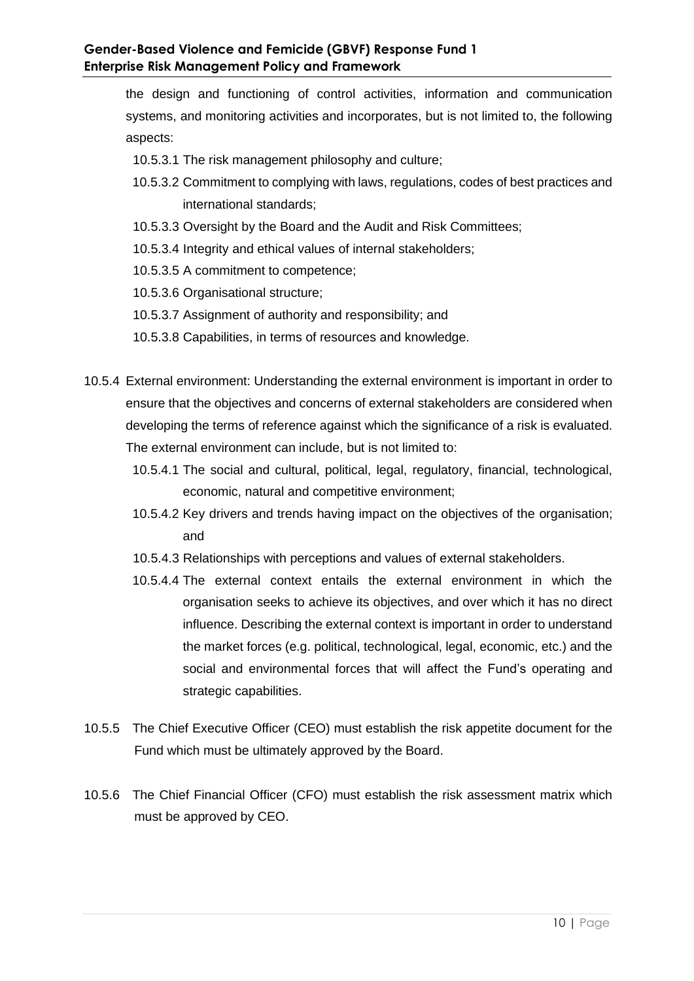the design and functioning of control activities, information and communication systems, and monitoring activities and incorporates, but is not limited to, the following aspects:

- 10.5.3.1 The risk management philosophy and culture;
- 10.5.3.2 Commitment to complying with laws, regulations, codes of best practices and international standards;
- 10.5.3.3 Oversight by the Board and the Audit and Risk Committees;
- 10.5.3.4 Integrity and ethical values of internal stakeholders;
- 10.5.3.5 A commitment to competence;
- 10.5.3.6 Organisational structure;
- 10.5.3.7 Assignment of authority and responsibility; and
- 10.5.3.8 Capabilities, in terms of resources and knowledge.
- 10.5.4 External environment: Understanding the external environment is important in order to ensure that the objectives and concerns of external stakeholders are considered when developing the terms of reference against which the significance of a risk is evaluated. The external environment can include, but is not limited to:
	- 10.5.4.1 The social and cultural, political, legal, regulatory, financial, technological, economic, natural and competitive environment;
	- 10.5.4.2 Key drivers and trends having impact on the objectives of the organisation; and
	- 10.5.4.3 Relationships with perceptions and values of external stakeholders.
	- 10.5.4.4 The external context entails the external environment in which the organisation seeks to achieve its objectives, and over which it has no direct influence. Describing the external context is important in order to understand the market forces (e.g. political, technological, legal, economic, etc.) and the social and environmental forces that will affect the Fund's operating and strategic capabilities.
- 10.5.5 The Chief Executive Officer (CEO) must establish the risk appetite document for the Fund which must be ultimately approved by the Board.
- 10.5.6 The Chief Financial Officer (CFO) must establish the risk assessment matrix which must be approved by CEO.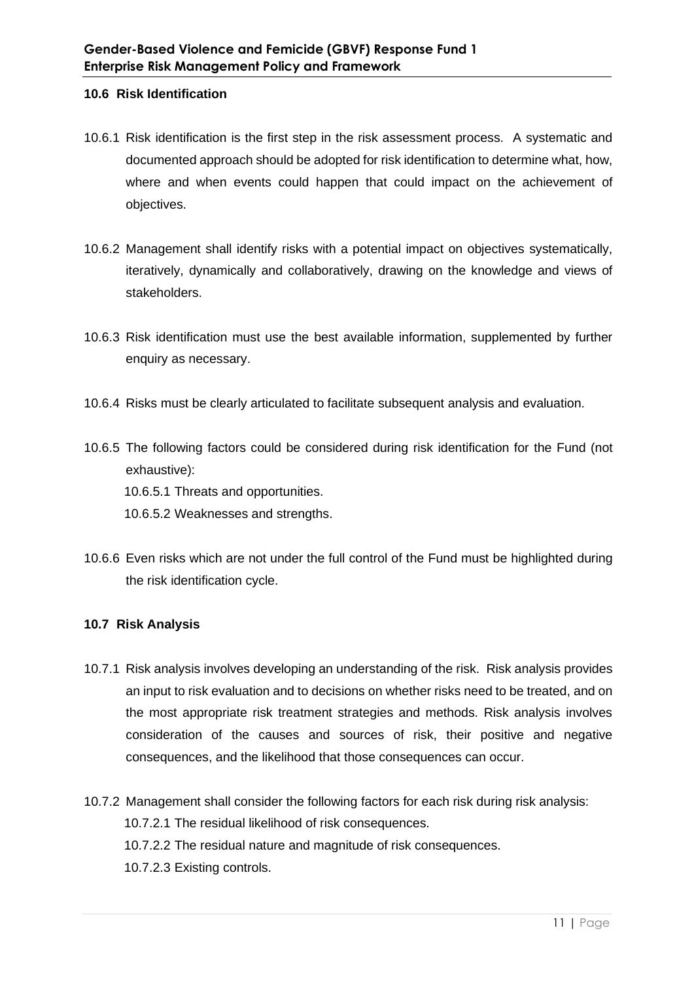## **10.6 Risk Identification**

- 10.6.1 Risk identification is the first step in the risk assessment process. A systematic and documented approach should be adopted for risk identification to determine what, how, where and when events could happen that could impact on the achievement of objectives.
- 10.6.2 Management shall identify risks with a potential impact on objectives systematically, iteratively, dynamically and collaboratively, drawing on the knowledge and views of stakeholders.
- 10.6.3 Risk identification must use the best available information, supplemented by further enquiry as necessary.
- 10.6.4 Risks must be clearly articulated to facilitate subsequent analysis and evaluation.
- 10.6.5 The following factors could be considered during risk identification for the Fund (not exhaustive): 10.6.5.1 Threats and opportunities.

10.6.5.2 Weaknesses and strengths.

10.6.6 Even risks which are not under the full control of the Fund must be highlighted during the risk identification cycle.

## **10.7 Risk Analysis**

- 10.7.1 Risk analysis involves developing an understanding of the risk. Risk analysis provides an input to risk evaluation and to decisions on whether risks need to be treated, and on the most appropriate risk treatment strategies and methods. Risk analysis involves consideration of the causes and sources of risk, their positive and negative consequences, and the likelihood that those consequences can occur.
- 10.7.2 Management shall consider the following factors for each risk during risk analysis: 10.7.2.1 The residual likelihood of risk consequences. 10.7.2.2 The residual nature and magnitude of risk consequences. 10.7.2.3 Existing controls.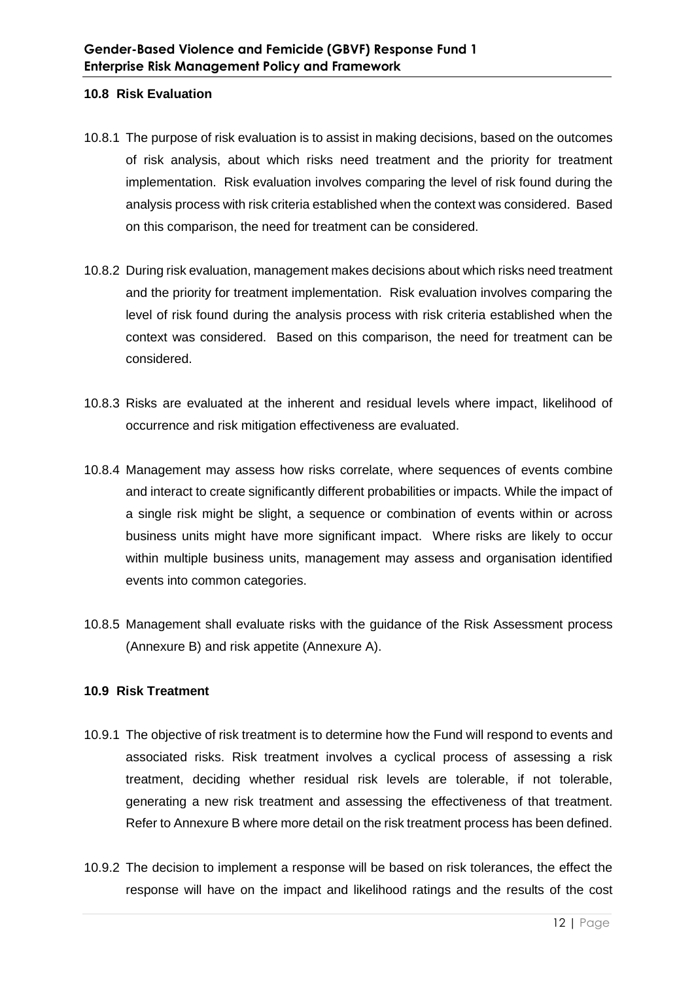#### **10.8 Risk Evaluation**

- 10.8.1 The purpose of risk evaluation is to assist in making decisions, based on the outcomes of risk analysis, about which risks need treatment and the priority for treatment implementation. Risk evaluation involves comparing the level of risk found during the analysis process with risk criteria established when the context was considered. Based on this comparison, the need for treatment can be considered.
- 10.8.2 During risk evaluation, management makes decisions about which risks need treatment and the priority for treatment implementation. Risk evaluation involves comparing the level of risk found during the analysis process with risk criteria established when the context was considered. Based on this comparison, the need for treatment can be considered.
- 10.8.3 Risks are evaluated at the inherent and residual levels where impact, likelihood of occurrence and risk mitigation effectiveness are evaluated.
- 10.8.4 Management may assess how risks correlate, where sequences of events combine and interact to create significantly different probabilities or impacts. While the impact of a single risk might be slight, a sequence or combination of events within or across business units might have more significant impact. Where risks are likely to occur within multiple business units, management may assess and organisation identified events into common categories.
- 10.8.5 Management shall evaluate risks with the guidance of the Risk Assessment process (Annexure B) and risk appetite (Annexure A).

## **10.9 Risk Treatment**

- 10.9.1 The objective of risk treatment is to determine how the Fund will respond to events and associated risks. Risk treatment involves a cyclical process of assessing a risk treatment, deciding whether residual risk levels are tolerable, if not tolerable, generating a new risk treatment and assessing the effectiveness of that treatment. Refer to Annexure B where more detail on the risk treatment process has been defined.
- 10.9.2 The decision to implement a response will be based on risk tolerances, the effect the response will have on the impact and likelihood ratings and the results of the cost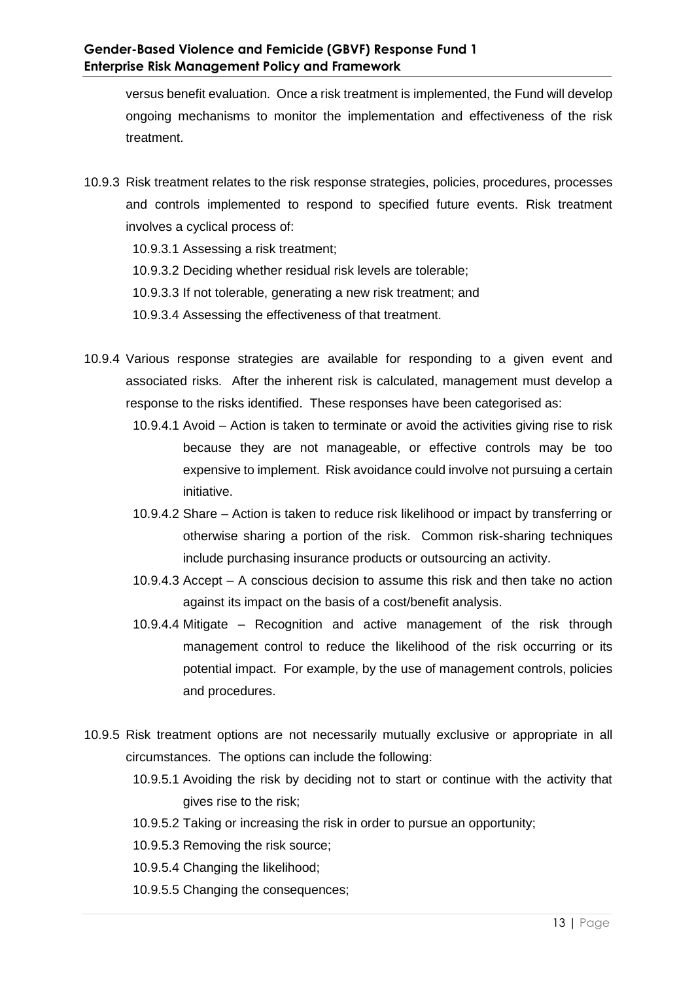versus benefit evaluation. Once a risk treatment is implemented, the Fund will develop ongoing mechanisms to monitor the implementation and effectiveness of the risk treatment.

- 10.9.3 Risk treatment relates to the risk response strategies, policies, procedures, processes and controls implemented to respond to specified future events. Risk treatment involves a cyclical process of:
	- 10.9.3.1 Assessing a risk treatment;
	- 10.9.3.2 Deciding whether residual risk levels are tolerable;
	- 10.9.3.3 If not tolerable, generating a new risk treatment; and
	- 10.9.3.4 Assessing the effectiveness of that treatment.
- 10.9.4 Various response strategies are available for responding to a given event and associated risks. After the inherent risk is calculated, management must develop a response to the risks identified. These responses have been categorised as:
	- 10.9.4.1 Avoid Action is taken to terminate or avoid the activities giving rise to risk because they are not manageable, or effective controls may be too expensive to implement. Risk avoidance could involve not pursuing a certain initiative.
	- 10.9.4.2 Share Action is taken to reduce risk likelihood or impact by transferring or otherwise sharing a portion of the risk. Common risk-sharing techniques include purchasing insurance products or outsourcing an activity.
	- 10.9.4.3 Accept A conscious decision to assume this risk and then take no action against its impact on the basis of a cost/benefit analysis.
	- 10.9.4.4 Mitigate Recognition and active management of the risk through management control to reduce the likelihood of the risk occurring or its potential impact. For example, by the use of management controls, policies and procedures.
- 10.9.5 Risk treatment options are not necessarily mutually exclusive or appropriate in all circumstances. The options can include the following:
	- 10.9.5.1 Avoiding the risk by deciding not to start or continue with the activity that gives rise to the risk;
	- 10.9.5.2 Taking or increasing the risk in order to pursue an opportunity;
	- 10.9.5.3 Removing the risk source;
	- 10.9.5.4 Changing the likelihood;
	- 10.9.5.5 Changing the consequences;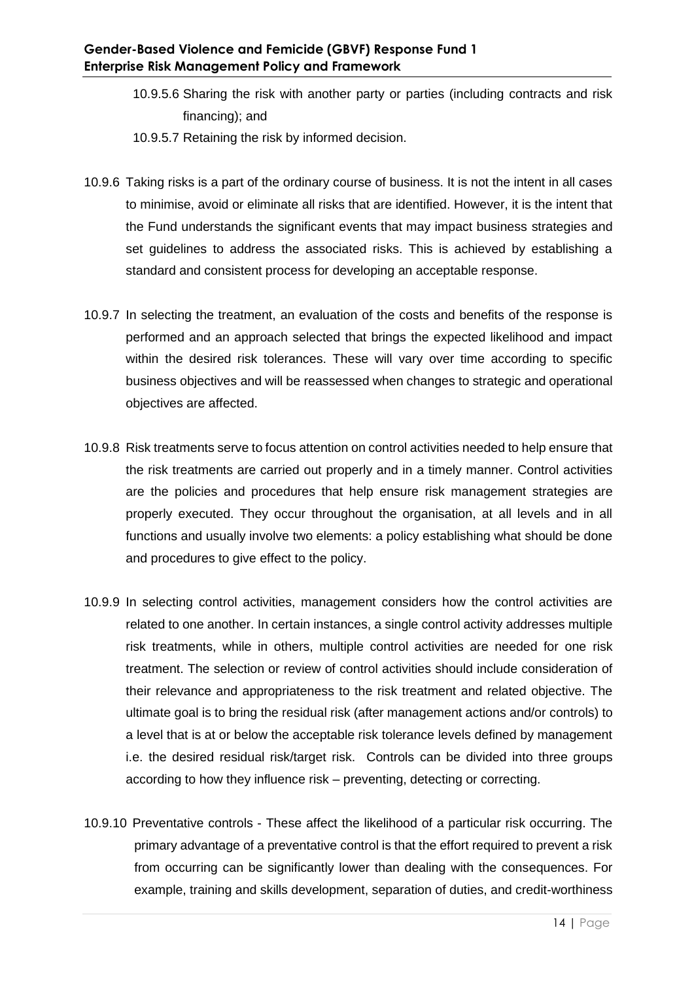- 10.9.5.6 Sharing the risk with another party or parties (including contracts and risk financing); and
- 10.9.5.7 Retaining the risk by informed decision.
- 10.9.6 Taking risks is a part of the ordinary course of business. It is not the intent in all cases to minimise, avoid or eliminate all risks that are identified. However, it is the intent that the Fund understands the significant events that may impact business strategies and set guidelines to address the associated risks. This is achieved by establishing a standard and consistent process for developing an acceptable response.
- 10.9.7 In selecting the treatment, an evaluation of the costs and benefits of the response is performed and an approach selected that brings the expected likelihood and impact within the desired risk tolerances. These will vary over time according to specific business objectives and will be reassessed when changes to strategic and operational objectives are affected.
- 10.9.8 Risk treatments serve to focus attention on control activities needed to help ensure that the risk treatments are carried out properly and in a timely manner. Control activities are the policies and procedures that help ensure risk management strategies are properly executed. They occur throughout the organisation, at all levels and in all functions and usually involve two elements: a policy establishing what should be done and procedures to give effect to the policy.
- 10.9.9 In selecting control activities, management considers how the control activities are related to one another. In certain instances, a single control activity addresses multiple risk treatments, while in others, multiple control activities are needed for one risk treatment. The selection or review of control activities should include consideration of their relevance and appropriateness to the risk treatment and related objective. The ultimate goal is to bring the residual risk (after management actions and/or controls) to a level that is at or below the acceptable risk tolerance levels defined by management i.e. the desired residual risk/target risk. Controls can be divided into three groups according to how they influence risk – preventing, detecting or correcting.
- 10.9.10 Preventative controls These affect the likelihood of a particular risk occurring. The primary advantage of a preventative control is that the effort required to prevent a risk from occurring can be significantly lower than dealing with the consequences. For example, training and skills development, separation of duties, and credit-worthiness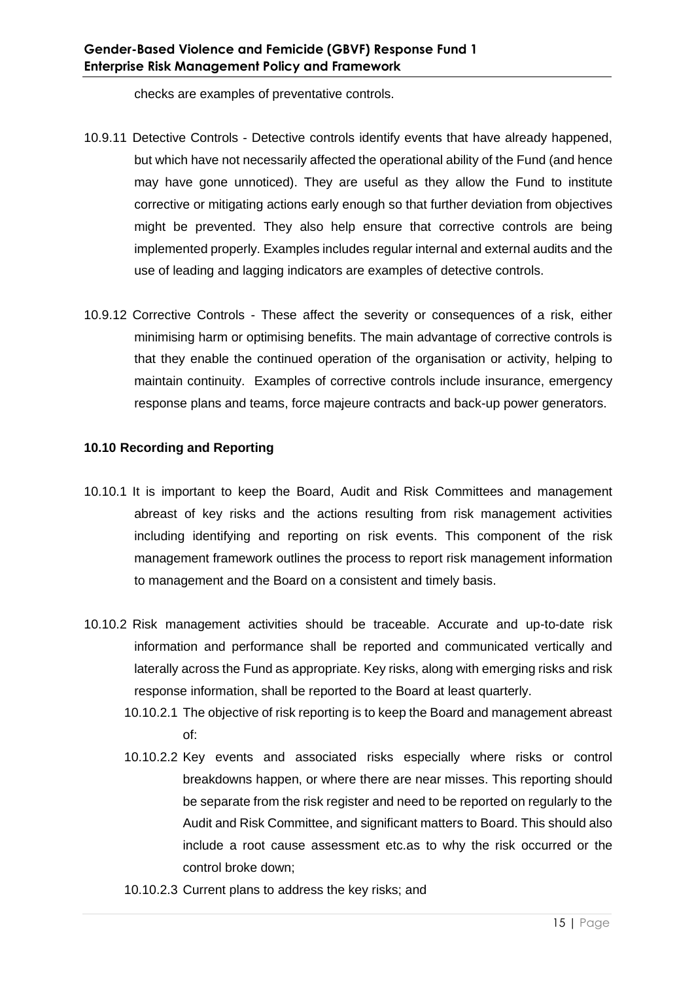checks are examples of preventative controls.

- 10.9.11 Detective Controls Detective controls identify events that have already happened, but which have not necessarily affected the operational ability of the Fund (and hence may have gone unnoticed). They are useful as they allow the Fund to institute corrective or mitigating actions early enough so that further deviation from objectives might be prevented. They also help ensure that corrective controls are being implemented properly. Examples includes regular internal and external audits and the use of leading and lagging indicators are examples of detective controls.
- 10.9.12 Corrective Controls These affect the severity or consequences of a risk, either minimising harm or optimising benefits. The main advantage of corrective controls is that they enable the continued operation of the organisation or activity, helping to maintain continuity. Examples of corrective controls include insurance, emergency response plans and teams, force majeure contracts and back-up power generators.

## **10.10 Recording and Reporting**

- 10.10.1 It is important to keep the Board, Audit and Risk Committees and management abreast of key risks and the actions resulting from risk management activities including identifying and reporting on risk events. This component of the risk management framework outlines the process to report risk management information to management and the Board on a consistent and timely basis.
- 10.10.2 Risk management activities should be traceable. Accurate and up-to-date risk information and performance shall be reported and communicated vertically and laterally across the Fund as appropriate. Key risks, along with emerging risks and risk response information, shall be reported to the Board at least quarterly.
	- 10.10.2.1 The objective of risk reporting is to keep the Board and management abreast of:
	- 10.10.2.2 Key events and associated risks especially where risks or control breakdowns happen, or where there are near misses. This reporting should be separate from the risk register and need to be reported on regularly to the Audit and Risk Committee, and significant matters to Board. This should also include a root cause assessment etc.as to why the risk occurred or the control broke down;
	- 10.10.2.3 Current plans to address the key risks; and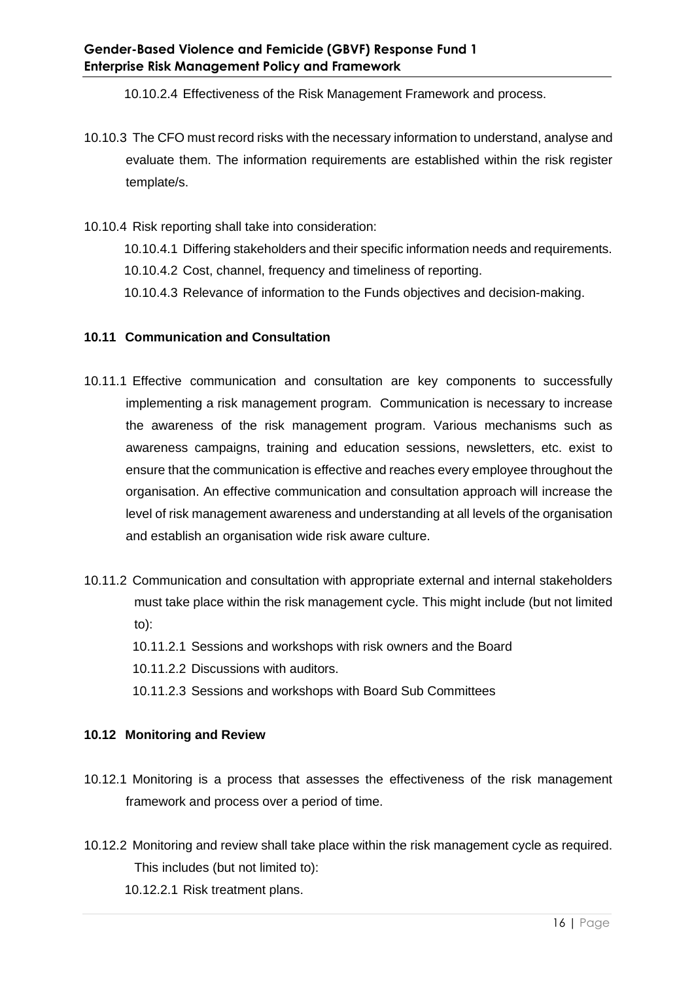10.10.2.4 Effectiveness of the Risk Management Framework and process.

- 10.10.3 The CFO must record risks with the necessary information to understand, analyse and evaluate them. The information requirements are established within the risk register template/s.
- 10.10.4 Risk reporting shall take into consideration:

10.10.4.1 Differing stakeholders and their specific information needs and requirements.

10.10.4.2 Cost, channel, frequency and timeliness of reporting.

10.10.4.3 Relevance of information to the Funds objectives and decision-making.

## **10.11 Communication and Consultation**

- 10.11.1 Effective communication and consultation are key components to successfully implementing a risk management program. Communication is necessary to increase the awareness of the risk management program. Various mechanisms such as awareness campaigns, training and education sessions, newsletters, etc. exist to ensure that the communication is effective and reaches every employee throughout the organisation. An effective communication and consultation approach will increase the level of risk management awareness and understanding at all levels of the organisation and establish an organisation wide risk aware culture.
- 10.11.2 Communication and consultation with appropriate external and internal stakeholders must take place within the risk management cycle. This might include (but not limited to):
	- 10.11.2.1 Sessions and workshops with risk owners and the Board
	- 10.11.2.2 Discussions with auditors.
	- 10.11.2.3 Sessions and workshops with Board Sub Committees

## **10.12 Monitoring and Review**

- 10.12.1 Monitoring is a process that assesses the effectiveness of the risk management framework and process over a period of time.
- 10.12.2 Monitoring and review shall take place within the risk management cycle as required. This includes (but not limited to):

10.12.2.1 Risk treatment plans.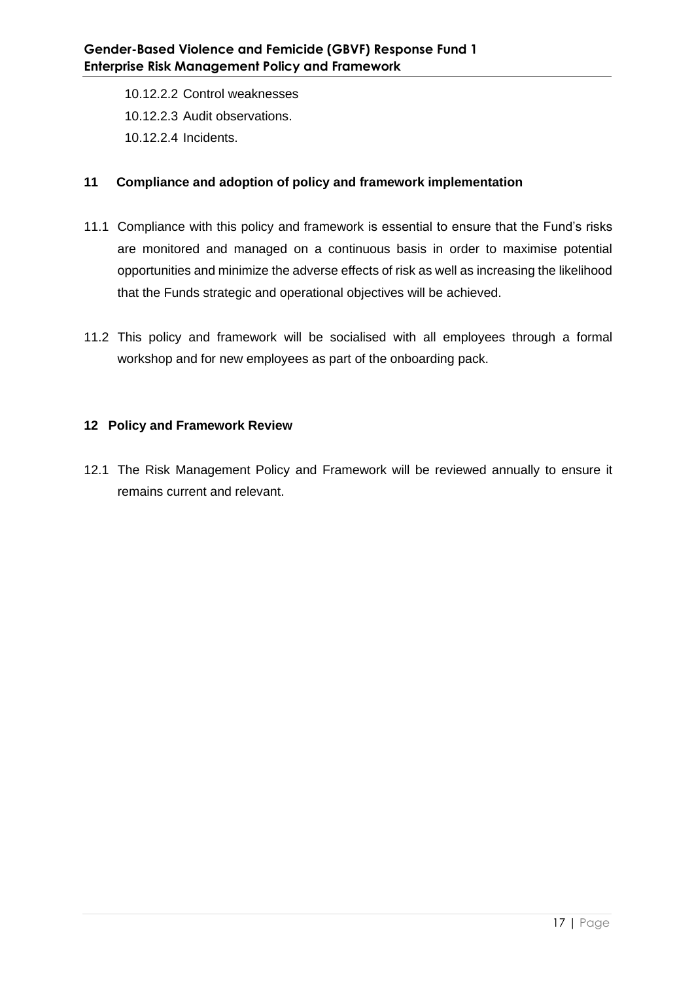10.12.2.2 Control weaknesses 10.12.2.3 Audit observations. 10.12.2.4 Incidents.

## **11 Compliance and adoption of policy and framework implementation**

- 11.1 Compliance with this policy and framework is essential to ensure that the Fund's risks are monitored and managed on a continuous basis in order to maximise potential opportunities and minimize the adverse effects of risk as well as increasing the likelihood that the Funds strategic and operational objectives will be achieved.
- 11.2 This policy and framework will be socialised with all employees through a formal workshop and for new employees as part of the onboarding pack.

## **12 Policy and Framework Review**

12.1 The Risk Management Policy and Framework will be reviewed annually to ensure it remains current and relevant.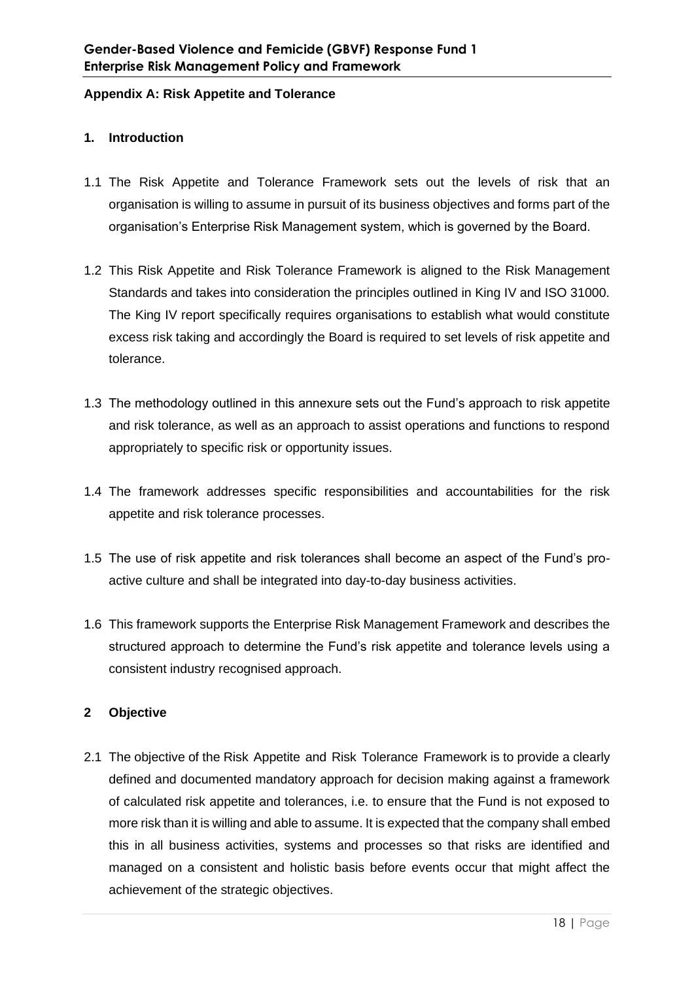#### **Appendix A: Risk Appetite and Tolerance**

## **1. Introduction**

- 1.1 The Risk Appetite and Tolerance Framework sets out the levels of risk that an organisation is willing to assume in pursuit of its business objectives and forms part of the organisation's Enterprise Risk Management system, which is governed by the Board.
- 1.2 This Risk Appetite and Risk Tolerance Framework is aligned to the Risk Management Standards and takes into consideration the principles outlined in King IV and ISO 31000. The King IV report specifically requires organisations to establish what would constitute excess risk taking and accordingly the Board is required to set levels of risk appetite and tolerance.
- 1.3 The methodology outlined in this annexure sets out the Fund's approach to risk appetite and risk tolerance, as well as an approach to assist operations and functions to respond appropriately to specific risk or opportunity issues.
- 1.4 The framework addresses specific responsibilities and accountabilities for the risk appetite and risk tolerance processes.
- 1.5 The use of risk appetite and risk tolerances shall become an aspect of the Fund's proactive culture and shall be integrated into day-to-day business activities.
- 1.6 This framework supports the Enterprise Risk Management Framework and describes the structured approach to determine the Fund's risk appetite and tolerance levels using a consistent industry recognised approach.

## **2 Objective**

2.1 The objective of the Risk Appetite and Risk Tolerance Framework is to provide a clearly defined and documented mandatory approach for decision making against a framework of calculated risk appetite and tolerances, i.e. to ensure that the Fund is not exposed to more risk than it is willing and able to assume. It is expected that the company shall embed this in all business activities, systems and processes so that risks are identified and managed on a consistent and holistic basis before events occur that might affect the achievement of the strategic objectives.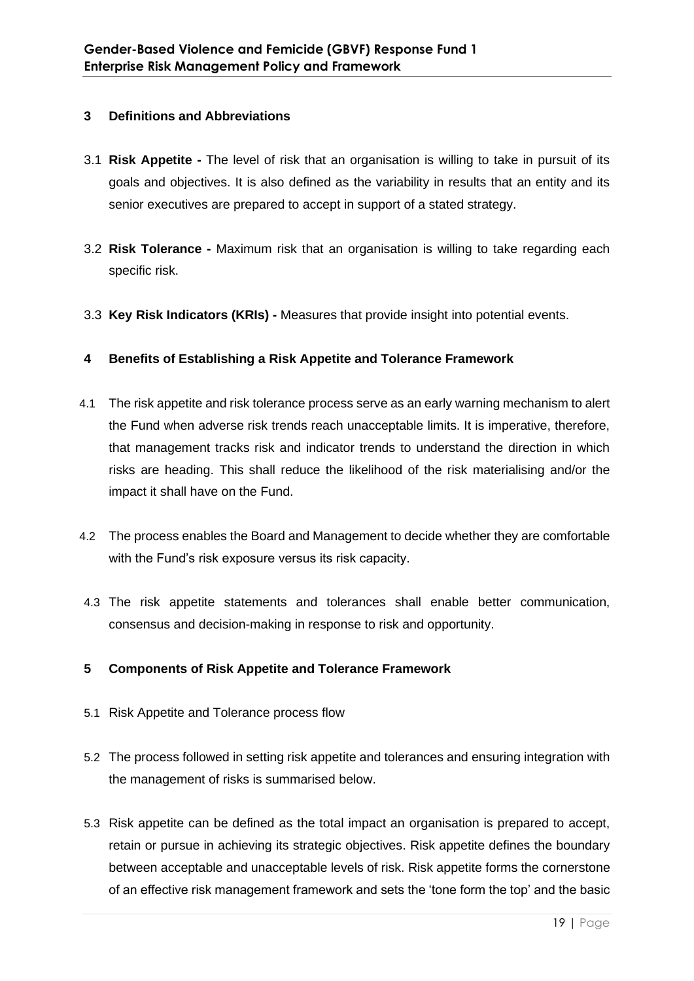## **3 Definitions and Abbreviations**

- 3.1 **Risk Appetite -** The level of risk that an organisation is willing to take in pursuit of its goals and objectives. It is also defined as the variability in results that an entity and its senior executives are prepared to accept in support of a stated strategy.
- 3.2 **Risk Tolerance -** Maximum risk that an organisation is willing to take regarding each specific risk.
- 3.3 **Key Risk Indicators (KRIs) -** Measures that provide insight into potential events.

## **4 Benefits of Establishing a Risk Appetite and Tolerance Framework**

- 4.1 The risk appetite and risk tolerance process serve as an early warning mechanism to alert the Fund when adverse risk trends reach unacceptable limits. It is imperative, therefore, that management tracks risk and indicator trends to understand the direction in which risks are heading. This shall reduce the likelihood of the risk materialising and/or the impact it shall have on the Fund.
- 4.2 The process enables the Board and Management to decide whether they are comfortable with the Fund's risk exposure versus its risk capacity.
- 4.3 The risk appetite statements and tolerances shall enable better communication, consensus and decision-making in response to risk and opportunity.

## **5 Components of Risk Appetite and Tolerance Framework**

- 5.1 Risk Appetite and Tolerance process flow
- 5.2 The process followed in setting risk appetite and tolerances and ensuring integration with the management of risks is summarised below.
- 5.3 Risk appetite can be defined as the total impact an organisation is prepared to accept, retain or pursue in achieving its strategic objectives. Risk appetite defines the boundary between acceptable and unacceptable levels of risk. Risk appetite forms the cornerstone of an effective risk management framework and sets the 'tone form the top' and the basic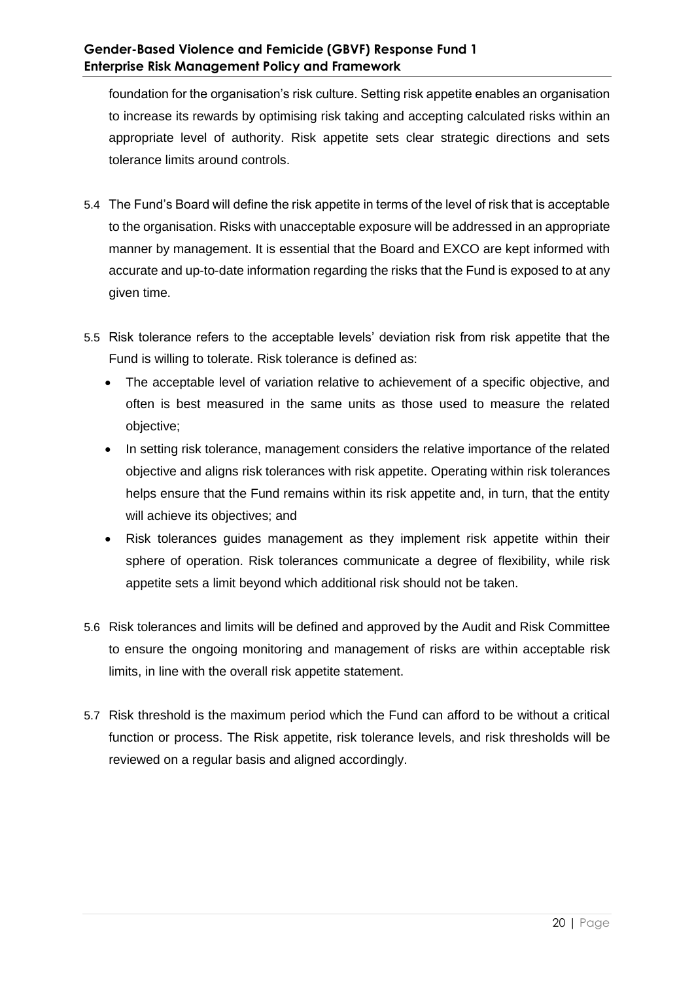foundation for the organisation's risk culture. Setting risk appetite enables an organisation to increase its rewards by optimising risk taking and accepting calculated risks within an appropriate level of authority. Risk appetite sets clear strategic directions and sets tolerance limits around controls.

- 5.4 The Fund's Board will define the risk appetite in terms of the level of risk that is acceptable to the organisation. Risks with unacceptable exposure will be addressed in an appropriate manner by management. It is essential that the Board and EXCO are kept informed with accurate and up-to-date information regarding the risks that the Fund is exposed to at any given time.
- 5.5 Risk tolerance refers to the acceptable levels' deviation risk from risk appetite that the Fund is willing to tolerate. Risk tolerance is defined as:
	- The acceptable level of variation relative to achievement of a specific objective, and often is best measured in the same units as those used to measure the related objective;
	- In setting risk tolerance, management considers the relative importance of the related objective and aligns risk tolerances with risk appetite. Operating within risk tolerances helps ensure that the Fund remains within its risk appetite and, in turn, that the entity will achieve its objectives; and
	- Risk tolerances guides management as they implement risk appetite within their sphere of operation. Risk tolerances communicate a degree of flexibility, while risk appetite sets a limit beyond which additional risk should not be taken.
- 5.6 Risk tolerances and limits will be defined and approved by the Audit and Risk Committee to ensure the ongoing monitoring and management of risks are within acceptable risk limits, in line with the overall risk appetite statement.
- 5.7 Risk threshold is the maximum period which the Fund can afford to be without a critical function or process. The Risk appetite, risk tolerance levels, and risk thresholds will be reviewed on a regular basis and aligned accordingly.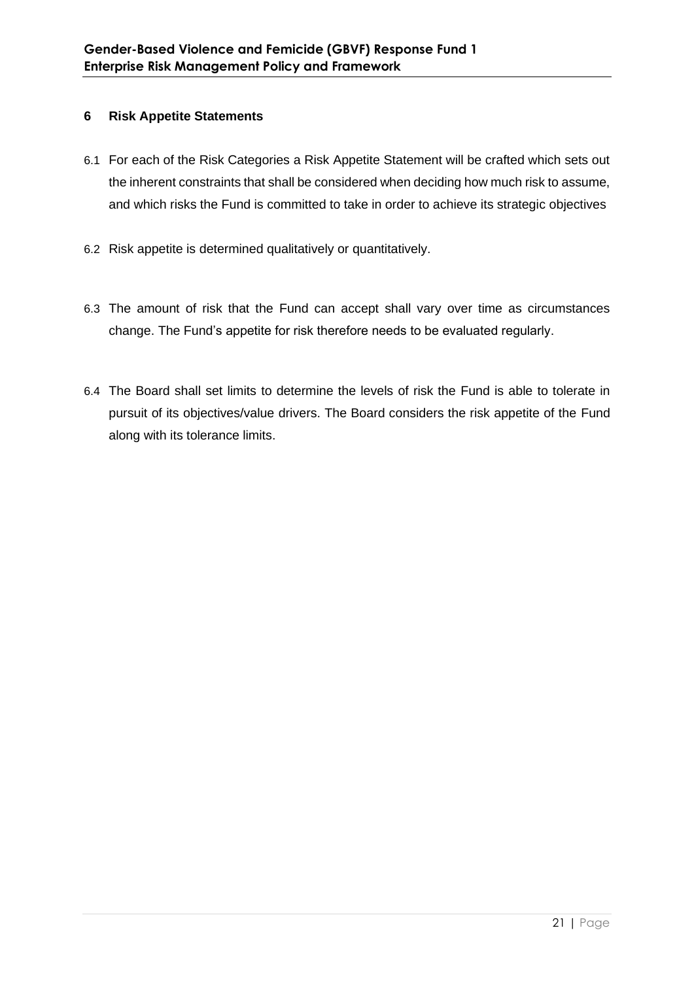## **6 Risk Appetite Statements**

- 6.1 For each of the Risk Categories a Risk Appetite Statement will be crafted which sets out the inherent constraints that shall be considered when deciding how much risk to assume, and which risks the Fund is committed to take in order to achieve its strategic objectives
- 6.2 Risk appetite is determined qualitatively or quantitatively.
- 6.3 The amount of risk that the Fund can accept shall vary over time as circumstances change. The Fund's appetite for risk therefore needs to be evaluated regularly.
- 6.4 The Board shall set limits to determine the levels of risk the Fund is able to tolerate in pursuit of its objectives/value drivers. The Board considers the risk appetite of the Fund along with its tolerance limits.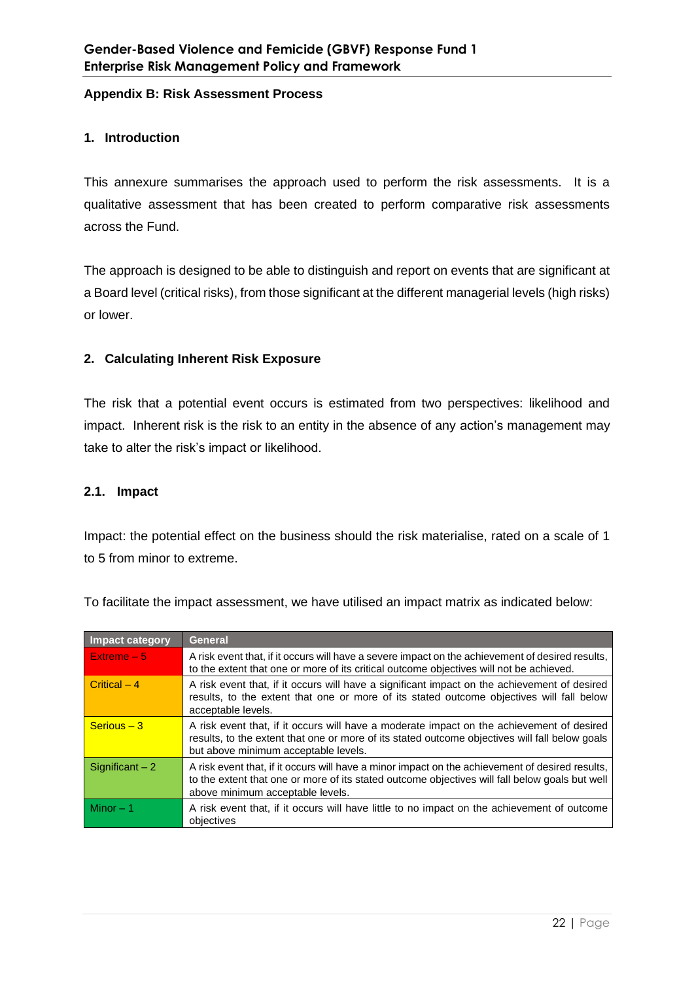#### **Appendix B: Risk Assessment Process**

## **1. Introduction**

This annexure summarises the approach used to perform the risk assessments. It is a qualitative assessment that has been created to perform comparative risk assessments across the Fund.

The approach is designed to be able to distinguish and report on events that are significant at a Board level (critical risks), from those significant at the different managerial levels (high risks) or lower.

## **2. Calculating Inherent Risk Exposure**

The risk that a potential event occurs is estimated from two perspectives: likelihood and impact. Inherent risk is the risk to an entity in the absence of any action's management may take to alter the risk's impact or likelihood.

## **2.1. Impact**

Impact: the potential effect on the business should the risk materialise, rated on a scale of 1 to 5 from minor to extreme.

| <b>Impact category</b> | General                                                                                                                                                                                                                               |
|------------------------|---------------------------------------------------------------------------------------------------------------------------------------------------------------------------------------------------------------------------------------|
| Extreme $-5$           | A risk event that, if it occurs will have a severe impact on the achievement of desired results,<br>to the extent that one or more of its critical outcome objectives will not be achieved.                                           |
| Critical $-4$          | A risk event that, if it occurs will have a significant impact on the achievement of desired<br>results, to the extent that one or more of its stated outcome objectives will fall below<br>acceptable levels.                        |
| $S$ erious $-3$        | A risk event that, if it occurs will have a moderate impact on the achievement of desired<br>results, to the extent that one or more of its stated outcome objectives will fall below goals<br>but above minimum acceptable levels.   |
| Significant $-2$       | A risk event that, if it occurs will have a minor impact on the achievement of desired results,<br>to the extent that one or more of its stated outcome objectives will fall below goals but well<br>above minimum acceptable levels. |
| Minor $-1$             | A risk event that, if it occurs will have little to no impact on the achievement of outcome<br>objectives                                                                                                                             |

To facilitate the impact assessment, we have utilised an impact matrix as indicated below: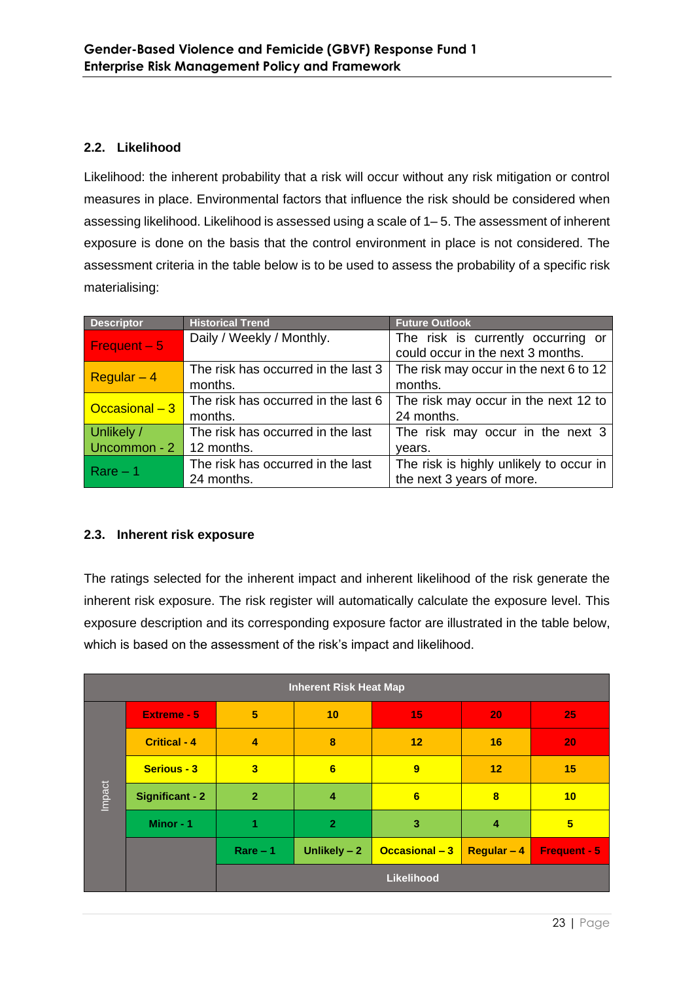## **2.2. Likelihood**

Likelihood: the inherent probability that a risk will occur without any risk mitigation or control measures in place. Environmental factors that influence the risk should be considered when assessing likelihood. Likelihood is assessed using a scale of 1– 5. The assessment of inherent exposure is done on the basis that the control environment in place is not considered. The assessment criteria in the table below is to be used to assess the probability of a specific risk materialising:

| <b>Descriptor</b>          | <b>Historical Trend</b>             | <b>Future Outlook</b>                   |
|----------------------------|-------------------------------------|-----------------------------------------|
| Frequent $-5$              | Daily / Weekly / Monthly.           | The risk is currently occurring or      |
|                            |                                     | could occur in the next 3 months.       |
|                            | The risk has occurred in the last 3 | The risk may occur in the next 6 to 12  |
| Regular $-4$               | months.                             | months.                                 |
| Occasional $-3$            | The risk has occurred in the last 6 | The risk may occur in the next 12 to    |
|                            | months.                             | 24 months.                              |
| Unlikely /                 | The risk has occurred in the last   | The risk may occur in the next 3        |
| Uncommon - 2<br>12 months. |                                     | years.                                  |
|                            | The risk has occurred in the last   | The risk is highly unlikely to occur in |
| $Rare - 1$                 | 24 months.                          | the next 3 years of more.               |

## **2.3. Inherent risk exposure**

The ratings selected for the inherent impact and inherent likelihood of the risk generate the inherent risk exposure. The risk register will automatically calculate the exposure level. This exposure description and its corresponding exposure factor are illustrated in the table below, which is based on the assessment of the risk's impact and likelihood.

| <b>Inherent Risk Heat Map</b> |                        |                         |                 |                |                    |                     |
|-------------------------------|------------------------|-------------------------|-----------------|----------------|--------------------|---------------------|
|                               | <b>Extreme - 5</b>     | 5                       | 10 <sup>°</sup> | 15             | 20                 | 25                  |
|                               | <b>Critical - 4</b>    | $\overline{4}$          | 8               | 12             | 16                 | 20                  |
|                               | <b>Serious - 3</b>     | $\overline{\mathbf{3}}$ | 6               | 9              | 12                 | 15                  |
| Impact                        | <b>Significant - 2</b> | $\overline{2}$          | 4               | 6              | 8                  | 10                  |
|                               | Minor - 1              | 1                       | $\overline{2}$  | 3              | $\overline{4}$     | 5                   |
|                               |                        | $Rare - 1$              | Unlikely $-2$   | Occasional - 3 | <b>Regular - 4</b> | <b>Frequent - 5</b> |
|                               |                        |                         |                 | Likelihood     |                    |                     |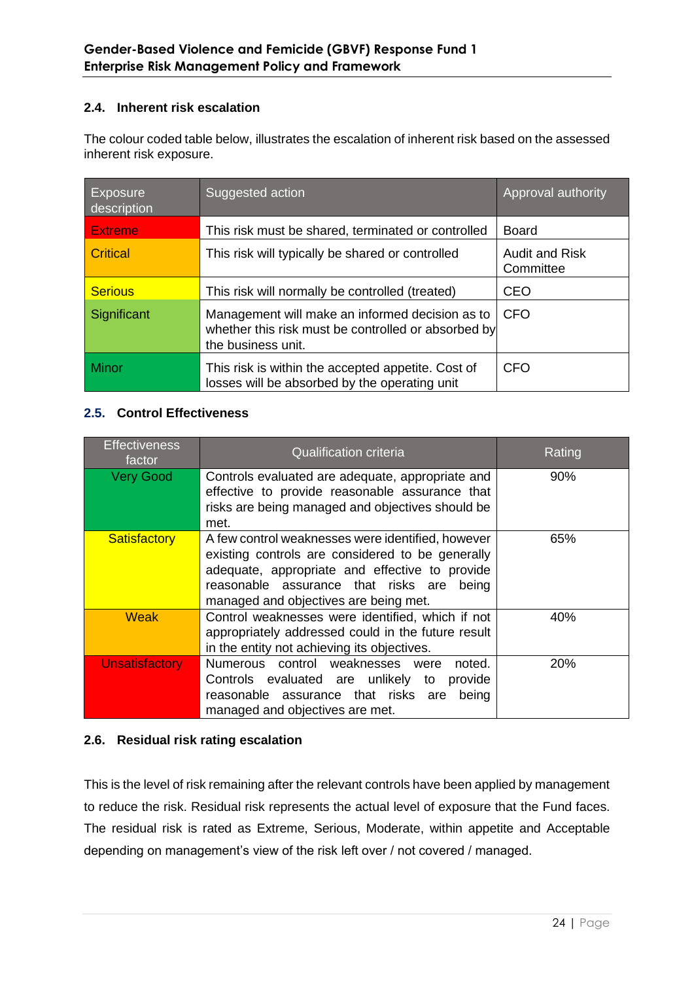## **2.4. Inherent risk escalation**

The colour coded table below, illustrates the escalation of inherent risk based on the assessed inherent risk exposure.

| <b>Exposure</b><br>description | Suggested action                                                                                                             | Approval authority                 |
|--------------------------------|------------------------------------------------------------------------------------------------------------------------------|------------------------------------|
| <b>Extreme</b>                 | This risk must be shared, terminated or controlled                                                                           | <b>Board</b>                       |
| Critical                       | This risk will typically be shared or controlled                                                                             | <b>Audit and Risk</b><br>Committee |
| <b>Serious</b>                 | This risk will normally be controlled (treated)                                                                              | <b>CEO</b>                         |
| Significant                    | Management will make an informed decision as to<br>whether this risk must be controlled or absorbed by<br>the business unit. | <b>CFO</b>                         |
| <b>Minor</b>                   | This risk is within the accepted appetite. Cost of<br>losses will be absorbed by the operating unit                          | <b>CFO</b>                         |

## **2.5. Control Effectiveness**

| <b>Effectiveness</b><br>factor | <b>Qualification criteria</b>                                                                                                                                                                                                                 | Rating |
|--------------------------------|-----------------------------------------------------------------------------------------------------------------------------------------------------------------------------------------------------------------------------------------------|--------|
| <b>Very Good</b>               | Controls evaluated are adequate, appropriate and<br>effective to provide reasonable assurance that<br>risks are being managed and objectives should be<br>met.                                                                                | $90\%$ |
| <b>Satisfactory</b>            | A few control weaknesses were identified, however<br>existing controls are considered to be generally<br>adequate, appropriate and effective to provide<br>reasonable assurance that risks are being<br>managed and objectives are being met. | 65%    |
| Weak                           | Control weaknesses were identified, which if not<br>appropriately addressed could in the future result<br>in the entity not achieving its objectives.                                                                                         | 40%    |
| <b>Unsatisfactory</b>          | Numerous control weaknesses were<br>noted.<br>Controls evaluated are unlikely to provide<br>reasonable assurance that risks are<br>beina<br>managed and objectives are met.                                                                   | 20%    |

## **2.6. Residual risk rating escalation**

This is the level of risk remaining after the relevant controls have been applied by management to reduce the risk. Residual risk represents the actual level of exposure that the Fund faces. The residual risk is rated as Extreme, Serious, Moderate, within appetite and Acceptable depending on management's view of the risk left over / not covered / managed.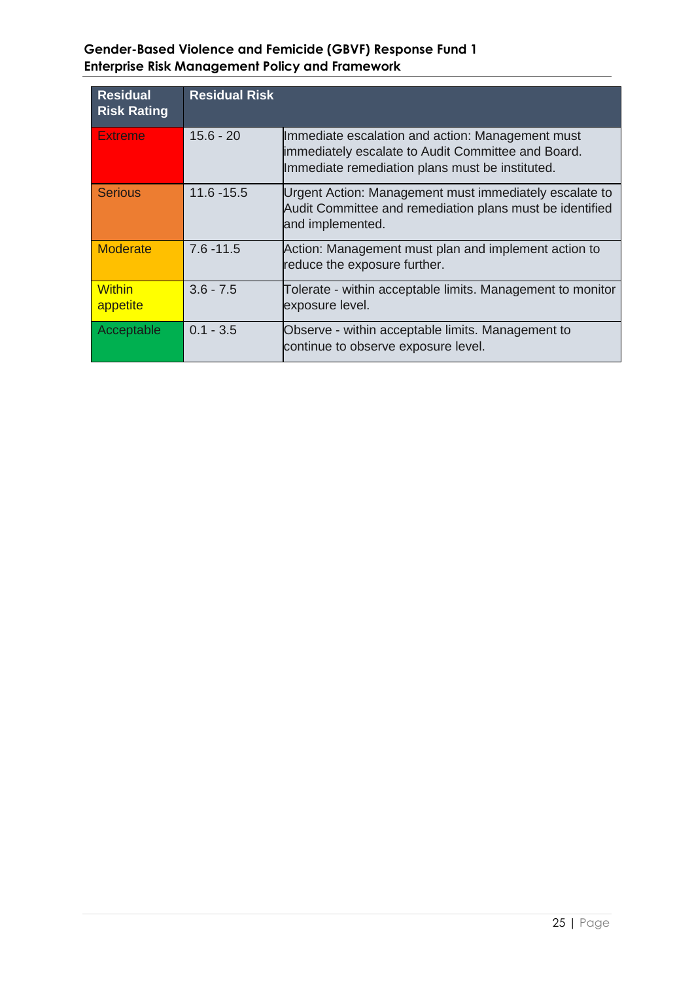## **Gender-Based Violence and Femicide (GBVF) Response Fund 1 Enterprise Risk Management Policy and Framework**

| <b>Residual</b><br><b>Risk Rating</b> | <b>Residual Risk</b> |                                                                                                                                                           |
|---------------------------------------|----------------------|-----------------------------------------------------------------------------------------------------------------------------------------------------------|
| Extreme                               | $15.6 - 20$          | Immediate escalation and action: Management must<br>immediately escalate to Audit Committee and Board.<br>Immediate remediation plans must be instituted. |
| <b>Serious</b>                        | $11.6 - 15.5$        | Urgent Action: Management must immediately escalate to<br>Audit Committee and remediation plans must be identified<br>and implemented.                    |
| <b>Moderate</b>                       | $7.6 - 11.5$         | Action: Management must plan and implement action to<br>reduce the exposure further.                                                                      |
| <b>Within</b><br>appetite             | $3.6 - 7.5$          | Tolerate - within acceptable limits. Management to monitor<br>exposure level.                                                                             |
| Acceptable                            | $0.1 - 3.5$          | Observe - within acceptable limits. Management to<br>continue to observe exposure level.                                                                  |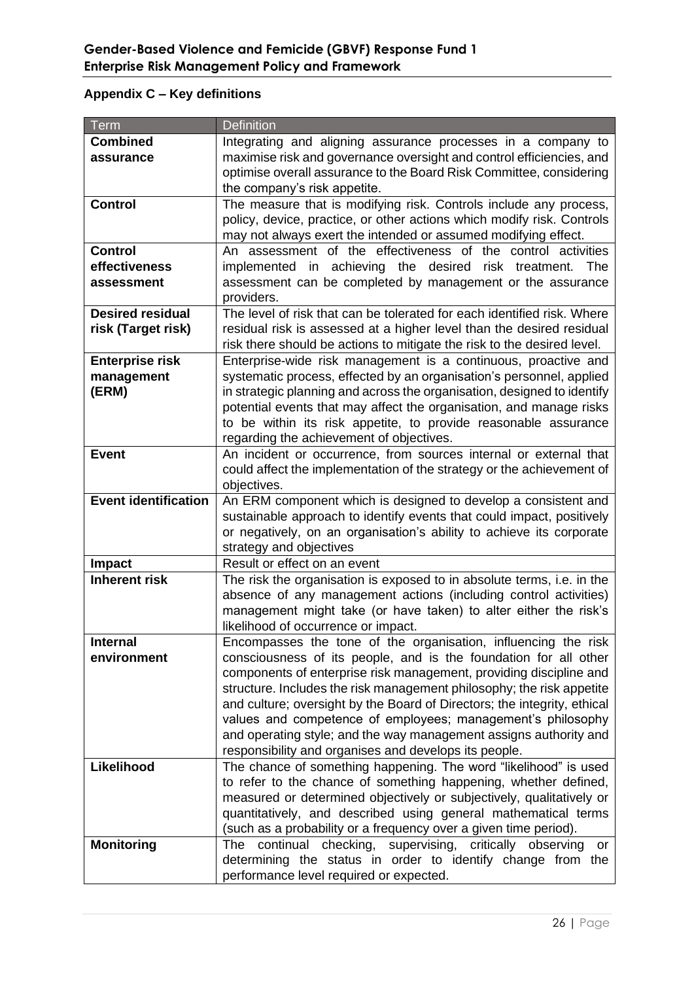| Term                         | <b>Definition</b>                                                                                                                                                                                             |
|------------------------------|---------------------------------------------------------------------------------------------------------------------------------------------------------------------------------------------------------------|
| <b>Combined</b><br>assurance | Integrating and aligning assurance processes in a company to<br>maximise risk and governance oversight and control efficiencies, and<br>optimise overall assurance to the Board Risk Committee, considering   |
|                              | the company's risk appetite.                                                                                                                                                                                  |
| <b>Control</b>               | The measure that is modifying risk. Controls include any process,<br>policy, device, practice, or other actions which modify risk. Controls<br>may not always exert the intended or assumed modifying effect. |
| <b>Control</b>               | An assessment of the effectiveness of the control activities                                                                                                                                                  |
| effectiveness                | implemented in achieving the desired risk treatment.<br>The                                                                                                                                                   |
| assessment                   | assessment can be completed by management or the assurance                                                                                                                                                    |
|                              | providers.                                                                                                                                                                                                    |
| <b>Desired residual</b>      | The level of risk that can be tolerated for each identified risk. Where                                                                                                                                       |
| risk (Target risk)           | residual risk is assessed at a higher level than the desired residual<br>risk there should be actions to mitigate the risk to the desired level.                                                              |
| <b>Enterprise risk</b>       | Enterprise-wide risk management is a continuous, proactive and                                                                                                                                                |
| management                   | systematic process, effected by an organisation's personnel, applied                                                                                                                                          |
| (ERM)                        | in strategic planning and across the organisation, designed to identify                                                                                                                                       |
|                              | potential events that may affect the organisation, and manage risks                                                                                                                                           |
|                              | to be within its risk appetite, to provide reasonable assurance                                                                                                                                               |
|                              | regarding the achievement of objectives.                                                                                                                                                                      |
| <b>Event</b>                 | An incident or occurrence, from sources internal or external that<br>could affect the implementation of the strategy or the achievement of                                                                    |
|                              | objectives.                                                                                                                                                                                                   |
| <b>Event identification</b>  | An ERM component which is designed to develop a consistent and                                                                                                                                                |
|                              | sustainable approach to identify events that could impact, positively                                                                                                                                         |
|                              | or negatively, on an organisation's ability to achieve its corporate                                                                                                                                          |
|                              | strategy and objectives                                                                                                                                                                                       |
| <b>Impact</b>                | Result or effect on an event                                                                                                                                                                                  |
| <b>Inherent risk</b>         | The risk the organisation is exposed to in absolute terms, i.e. in the                                                                                                                                        |
|                              | absence of any management actions (including control activities)                                                                                                                                              |
|                              | management might take (or have taken) to alter either the risk's                                                                                                                                              |
|                              | likelihood of occurrence or impact.                                                                                                                                                                           |
| <b>Internal</b>              | Encompasses the tone of the organisation, influencing the risk                                                                                                                                                |
| environment                  | consciousness of its people, and is the foundation for all other                                                                                                                                              |
|                              | components of enterprise risk management, providing discipline and                                                                                                                                            |
|                              | structure. Includes the risk management philosophy; the risk appetite                                                                                                                                         |
|                              | and culture; oversight by the Board of Directors; the integrity, ethical                                                                                                                                      |
|                              | values and competence of employees; management's philosophy                                                                                                                                                   |
|                              | and operating style; and the way management assigns authority and                                                                                                                                             |
|                              | responsibility and organises and develops its people.                                                                                                                                                         |
| Likelihood                   | The chance of something happening. The word "likelihood" is used<br>to refer to the chance of something happening, whether defined,                                                                           |
|                              | measured or determined objectively or subjectively, qualitatively or                                                                                                                                          |
|                              | quantitatively, and described using general mathematical terms                                                                                                                                                |
|                              | (such as a probability or a frequency over a given time period).                                                                                                                                              |
| <b>Monitoring</b>            | continual checking, supervising, critically observing<br>The<br>or                                                                                                                                            |
|                              | determining the status in order to identify change from the                                                                                                                                                   |
|                              | performance level required or expected.                                                                                                                                                                       |

## **Appendix C – Key definitions**